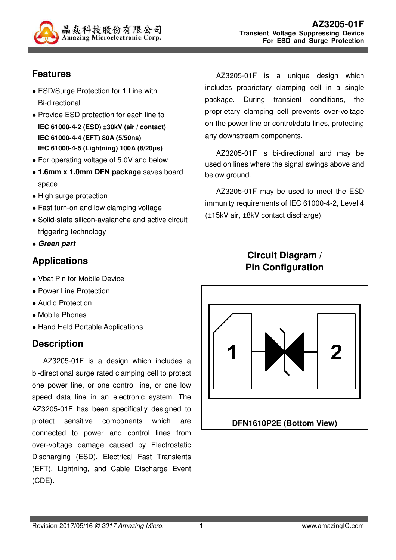

### **Features**

- ESD/Surge Protection for 1 Line with Bi-directional
- Provide ESD protection for each line to **IEC 61000-4-2 (ESD) ±30kV (air / contact) IEC 61000-4-4 (EFT) 80A (5/50ns) IEC 61000-4-5 (Lightning) 100A (8/20µs)**
- For operating voltage of 5.0V and below
- **1.6mm x 1.0mm DFN package** saves board space
- High surge protection
- Fast turn-on and low clamping voltage
- Solid-state silicon-avalanche and active circuit triggering technology
- **Green part**

# **Applications**

- Vbat Pin for Mobile Device
- Power Line Protection
- Audio Protection
- Mobile Phones
- Hand Held Portable Applications

# **Description**

AZ3205-01F is a design which includes a bi-directional surge rated clamping cell to protect one power line, or one control line, or one low speed data line in an electronic system. The AZ3205-01F has been specifically designed to protect sensitive components which are connected to power and control lines from over-voltage damage caused by Electrostatic Discharging (ESD), Electrical Fast Transients (EFT), Lightning, and Cable Discharge Event (CDE).

AZ3205-01F is a unique design which includes proprietary clamping cell in a single package. During transient conditions, the proprietary clamping cell prevents over-voltage on the power line or control/data lines, protecting any downstream components.

AZ3205-01F is bi-directional and may be used on lines where the signal swings above and below ground.

AZ3205-01F may be used to meet the ESD immunity requirements of IEC 61000-4-2, Level 4 (±15kV air, ±8kV contact discharge).

### **Circuit Diagram / Pin Configuration**

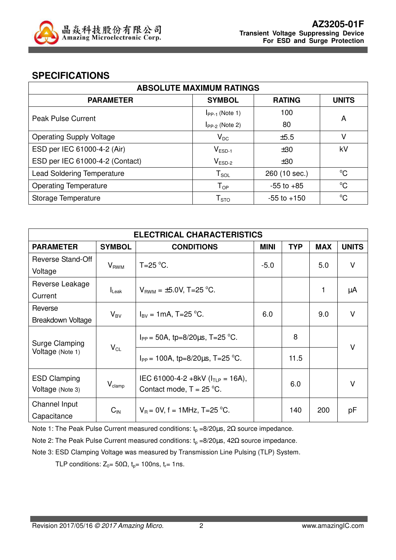

#### **SPECIFICATIONS**

| <b>ABSOLUTE MAXIMUM RATINGS</b>   |                     |                 |              |  |  |
|-----------------------------------|---------------------|-----------------|--------------|--|--|
| <b>PARAMETER</b>                  | <b>SYMBOL</b>       | <b>RATING</b>   | <b>UNITS</b> |  |  |
| <b>Peak Pulse Current</b>         | $I_{PP-1}$ (Note 1) | 100             | A            |  |  |
|                                   | $I_{PP-2}$ (Note 2) | 80              |              |  |  |
| <b>Operating Supply Voltage</b>   | $V_{DC}$            | ±5.5            | v            |  |  |
| ESD per IEC 61000-4-2 (Air)       | $V_{ESD-1}$         | ±30             | kV           |  |  |
| ESD per IEC 61000-4-2 (Contact)   | $V_{ESD-2}$         | ±30             |              |  |  |
| <b>Lead Soldering Temperature</b> | $T_{\texttt{SOL}}$  | 260 (10 sec.)   | $^{\circ}C$  |  |  |
| <b>Operating Temperature</b>      | $T_{OP}$            | $-55$ to $+85$  | $^{\circ}C$  |  |  |
| Storage Temperature               | ${\sf T}_{\sf STO}$ | $-55$ to $+150$ | $^{\circ}C$  |  |  |

| <b>ELECTRICAL CHARACTERISTICS</b>                                |                    |                                                                      |             |            |            |              |
|------------------------------------------------------------------|--------------------|----------------------------------------------------------------------|-------------|------------|------------|--------------|
| <b>PARAMETER</b>                                                 | <b>SYMBOL</b>      | <b>CONDITIONS</b>                                                    | <b>MINI</b> | <b>TYP</b> | <b>MAX</b> | <b>UNITS</b> |
| Reverse Stand-Off                                                |                    | $T=25$ °C.                                                           |             |            |            | $\vee$       |
| Voltage                                                          | $V_{RWM}$          |                                                                      | $-5.0$      |            | 5.0        |              |
| Reverse Leakage                                                  |                    |                                                                      |             |            |            |              |
| Current                                                          | $I_{\text{Leak}}$  | $V_{BWM} = \pm 5.0 V$ , T=25 °C.                                     |             |            | 1          | μA           |
| Reverse                                                          |                    | $I_{\text{BV}} = 1 \text{mA}, T = 25 \text{ °C}.$                    |             |            | 9.0        | $\vee$       |
| Breakdown Voltage                                                | $V_{BV}$           |                                                                      | 6.0         |            |            |              |
| Surge Clamping<br>$\mathsf{V}_{\mathsf{CL}}$<br>Voltage (Note 1) |                    | $I_{PP}$ = 50A, tp=8/20 $\mu$ s, T=25 °C.                            |             | 8          |            | $\vee$       |
|                                                                  |                    | $I_{PP}$ = 100A, tp=8/20 $\mu$ s, T=25 °C.                           |             | 11.5       |            |              |
| <b>ESD Clamping</b><br>Voltage (Note 3)                          | $V_{\text{clamp}}$ | IEC 61000-4-2 +8kV ( $I_{TLP}$ = 16A),<br>Contact mode, $T = 25$ °C. |             | 6.0        |            | $\vee$       |
| Channel Input<br>Capacitance                                     | $C_{\text{IN}}$    | $V_B = 0V$ , f = 1MHz, T=25 °C.                                      |             | 140        | 200        | рF           |

Note 1: The Peak Pulse Current measured conditions:  $t_p = 8/20 \mu s$ ,  $2\Omega$  source impedance.

Note 2: The Peak Pulse Current measured conditions:  $t_p = 8/20 \mu s$ , 42Ω source impedance.

Note 3: ESD Clamping Voltage was measured by Transmission Line Pulsing (TLP) System.

TLP conditions:  $Z_0 = 50\Omega$ ,  $t_p = 100$ ns,  $t_r = 1$ ns.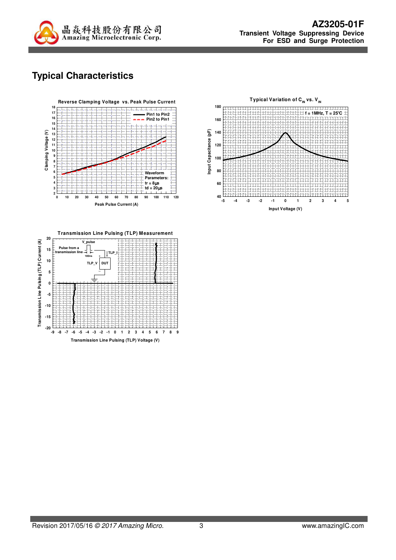

# **Typical Characteristics**





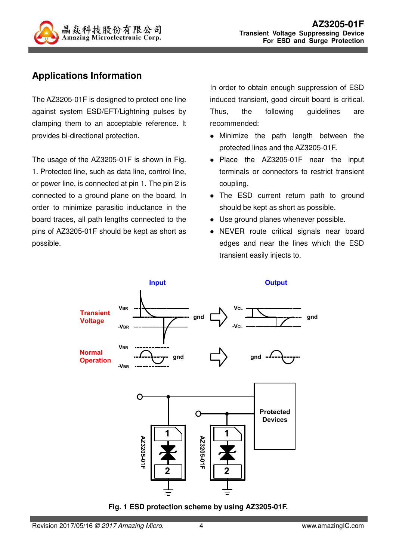

## **Applications Information**

The AZ3205-01F is designed to protect one line against system ESD/EFT/Lightning pulses by clamping them to an acceptable reference. It provides bi-directional protection.

The usage of the AZ3205-01F is shown in Fig. 1. Protected line, such as data line, control line, or power line, is connected at pin 1. The pin 2 is connected to a ground plane on the board. In order to minimize parasitic inductance in the board traces, all path lengths connected to the pins of AZ3205-01F should be kept as short as possible.

In order to obtain enough suppression of ESD induced transient, good circuit board is critical. Thus, the following guidelines are recommended:

- Minimize the path length between the protected lines and the AZ3205-01F.
- Place the AZ3205-01F near the input terminals or connectors to restrict transient coupling.
- The ESD current return path to ground should be kept as short as possible.
- Use ground planes whenever possible.
- NEVER route critical signals near board edges and near the lines which the ESD transient easily injects to.



**Fig. 1 ESD protection scheme by using AZ3205-01F.**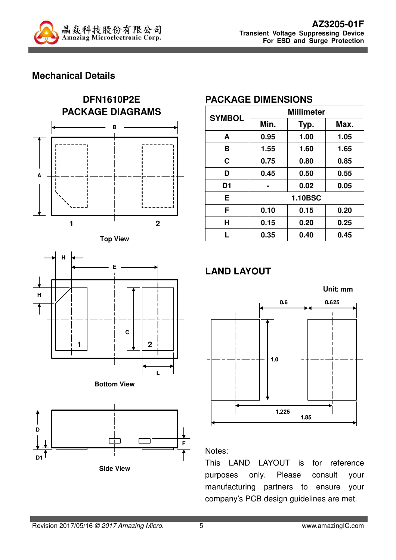

#### **Mechanical Details**











#### **PACKAGE DIMENSIONS**

| <b>SYMBOL</b>  | <b>Millimeter</b> |      |      |  |
|----------------|-------------------|------|------|--|
|                | Min.              | Typ. | Max. |  |
| A              | 0.95              | 1.00 | 1.05 |  |
| B              | 1.55              | 1.60 | 1.65 |  |
| C              | 0.75              | 0.80 | 0.85 |  |
| D              | 0.45              | 0.50 | 0.55 |  |
| D <sub>1</sub> |                   | 0.02 | 0.05 |  |
| Е              | <b>1.10BSC</b>    |      |      |  |
| F              | 0.10              | 0.15 | 0.20 |  |
| Н              | 0.15              | 0.20 | 0.25 |  |
| L              | 0.35              | 0.40 | 0.45 |  |

# **LAND LAYOUT**



#### Notes:

This LAND LAYOUT is for reference purposes only. Please consult your manufacturing partners to ensure your company's PCB design guidelines are met.